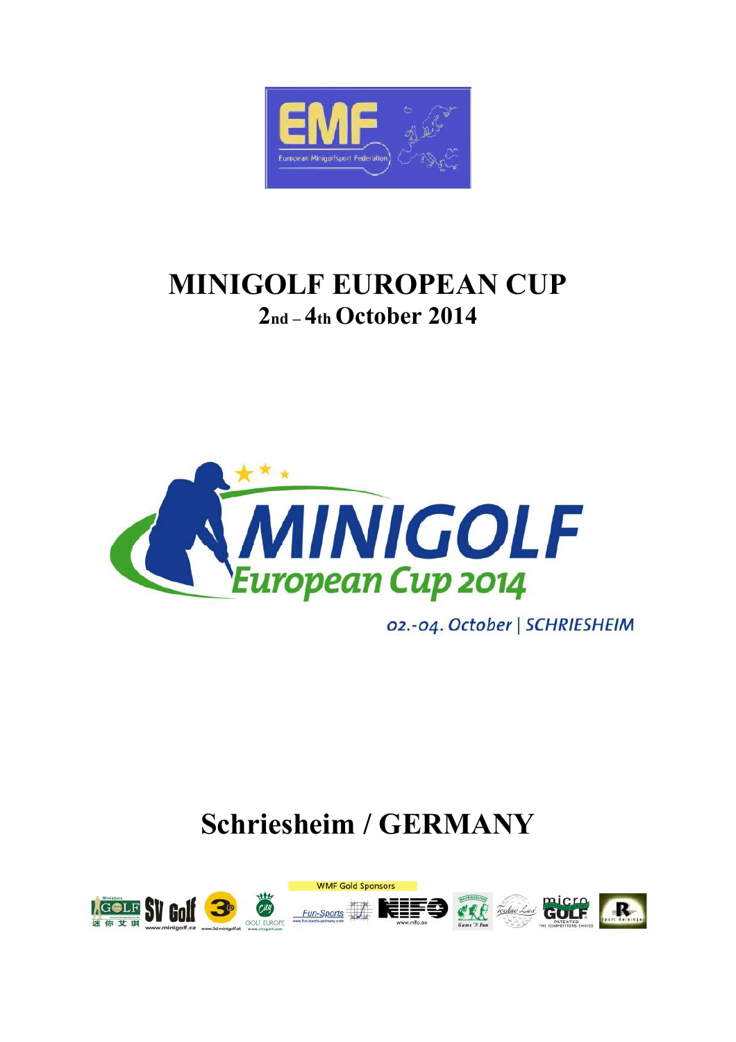

# **MINIGOLF EUROPEAN CUP 2nd – 4th October 2014**



02.-04. October | SCHRIESHEIM

# **Schriesheim / GERMANY**

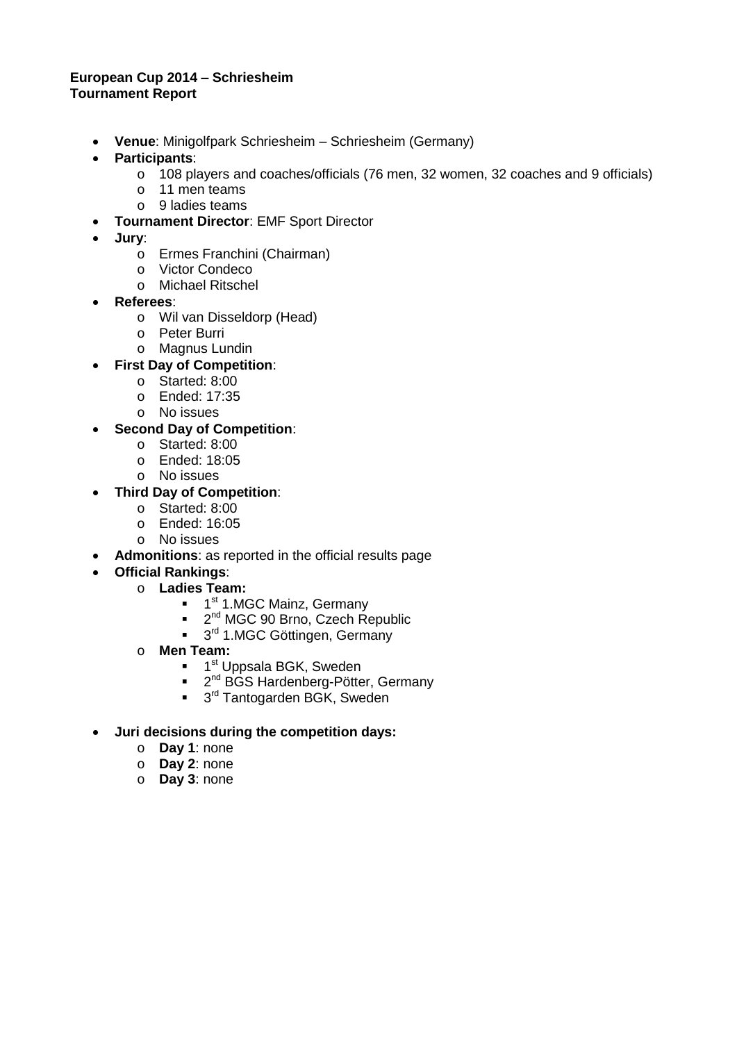## **European Cup 2014 – Schriesheim Tournament Report**

- **Venue**: Minigolfpark Schriesheim Schriesheim (Germany)
- **Participants**:
	- o 108 players and coaches/officials (76 men, 32 women, 32 coaches and 9 officials)
	- o 11 men teams
	- o 9 ladies teams
- **Tournament Director**: EMF Sport Director
- **Jury**:
	- o Ermes Franchini (Chairman)
	- o Victor Condeco
	- o Michael Ritschel
- **Referees**:
	- o Wil van Disseldorp (Head)
	- o Peter Burri
	- o Magnus Lundin
- **First Day of Competition**:
	- o Started: 8:00
	- o Ended: 17:35
	- o No issues
- **Second Day of Competition**:
	- o Started: 8:00
	- o Ended: 18:05
	- o No issues
- **Third Day of Competition**:
	- o Started: 8:00
	- o Ended: 16:05
	- o No issues
- **Admonitions**: as reported in the official results page
- **Official Rankings**:
	- o **Ladies Team:**
		- <sup>1</sup> 1.MGC Mainz, Germany
		- <sup>2nd</sup> MGC 90 Brno, Czech Republic
		- <sup>3rd</sup> 1.MGC Göttingen, Germany
	- o **Men Team:**
		- 1<sup>st</sup> Uppsala BGK, Sweden
		- <sup>2nd</sup> BGS Hardenberg-Pötter, Germany
		- 3<sup>rd</sup> Tantogarden BGK, Sweden
- **Juri decisions during the competition days:** 
	- o **Day 1**: none
	- o **Day 2**: none
	- o **Day 3**: none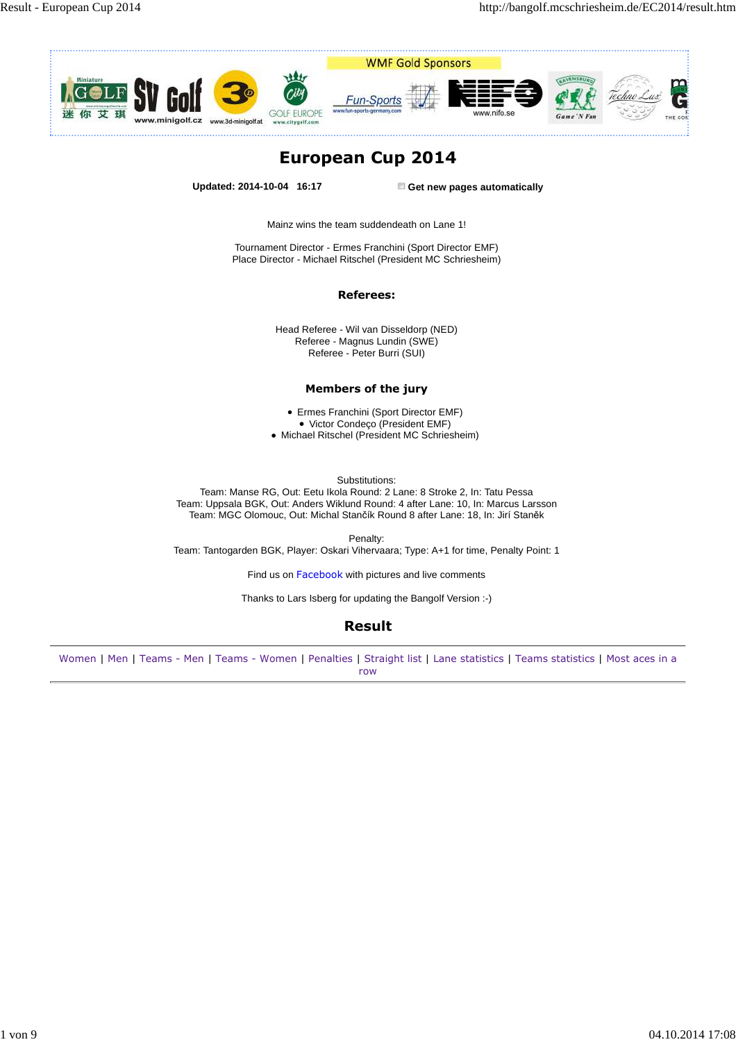

## **European Cup 2014**

**Updated: 2014-10-04 16:17 Get new pages automatically**

Mainz wins the team suddendeath on Lane 1!

Tournament Director - Ermes Franchini (Sport Director EMF) Place Director - Michael Ritschel (President MC Schriesheim)

#### **Referees:**

Head Referee - Wil van Disseldorp (NED) Referee - Magnus Lundin (SWE) Referee - Peter Burri (SUI)

### **Members of the jury**

Ermes Franchini (Sport Director EMF) Victor Condeço (President EMF)

Michael Ritschel (President MC Schriesheim)

Substitutions:

Team: Manse RG, Out: Eetu Ikola Round: 2 Lane: 8 Stroke 2, In: Tatu Pessa Team: Uppsala BGK, Out: Anders Wiklund Round: 4 after Lane: 10, In: Marcus Larsson Team: MGC Olomouc, Out: Michal Stančík Round 8 after Lane: 18, In: Jirí Staněk

Penalty: Team: Tantogarden BGK, Player: Oskari Vihervaara; Type: A+1 for time, Penalty Point: 1

Find us on Facebook with pictures and live comments

Thanks to Lars Isberg for updating the Bangolf Version :-)

## **Result**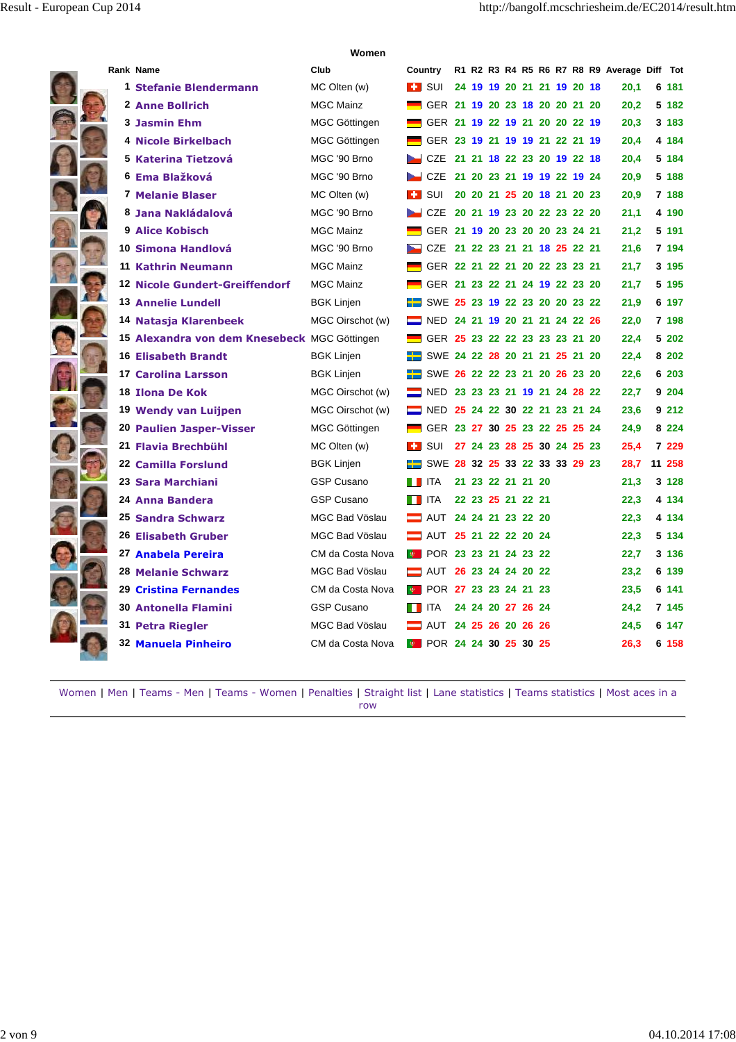ł

|  | Rank Name                                    | Club                  | Country                                      |  |  |                            |  |  | R1 R2 R3 R4 R5 R6 R7 R8 R9 Average Diff Tot |         |
|--|----------------------------------------------|-----------------------|----------------------------------------------|--|--|----------------------------|--|--|---------------------------------------------|---------|
|  | 1 Stefanie Blendermann                       | MC Olten (w)          | <b>EF</b> SUI                                |  |  | 24 19 19 20 21 21 19 20 18 |  |  | 20.1                                        | 6 181   |
|  | 2 Anne Bollrich                              | <b>MGC Mainz</b>      | GER 21 19 20 23 18 20 20 21 20               |  |  |                            |  |  | 20,2                                        | 5 182   |
|  | <b>3 Jasmin Ehm</b>                          | MGC Göttingen         | GER 21 19 22 19 21 20 20 22 19               |  |  |                            |  |  | 20,3                                        | 3 183   |
|  | <sup>4</sup> Nicole Birkelbach               | <b>MGC Göttingen</b>  | GER 23 19 21 19 19 21 22 21 19               |  |  |                            |  |  | 20,4                                        | 4 184   |
|  | 5 Katerina Tietzová                          | MGC '90 Brno          | CZE 21 21 18 22 23 20 19 22 18               |  |  |                            |  |  | 20,4                                        | 5 184   |
|  | 6 Ema Blažková                               | MGC '90 Brno          | CZE 21 20 23 21 19 19 22 19 24               |  |  |                            |  |  | 20,9                                        | 5 188   |
|  | 7 Melanie Blaser                             | MC Olten (w)          | <b>EE</b> SUI                                |  |  | 20 20 21 25 20 18 21 20 23 |  |  | 20,9                                        | 7 188   |
|  | 8 Jana Nakládalová                           | MGC '90 Brno          | CZE 20 21 19 23 20 22 23 22 20               |  |  |                            |  |  | 21,1                                        | 4 190   |
|  | <b>9 Alice Kobisch</b>                       | <b>MGC Mainz</b>      | GER 21 19 20 23 20 20 23 24 21               |  |  |                            |  |  | 21,2                                        | 5 191   |
|  | 10 Simona Handlová                           | MGC '90 Brno          | CZE 21 22 23 21 21 18 25 22 21               |  |  |                            |  |  | 21,6                                        | 7 194   |
|  | 11 Kathrin Neumann                           | <b>MGC Mainz</b>      | GER 22 21 22 21 20 22 23 23 21               |  |  |                            |  |  | 21,7                                        | 3 195   |
|  | <b>12 Nicole Gundert-Greiffendorf</b>        | <b>MGC Mainz</b>      | GER 21 23 22 21 24 19 22 23 20               |  |  |                            |  |  | 21,7                                        | 5 195   |
|  | <b>13 Annelie Lundell</b>                    | <b>BGK Linjen</b>     | <b>EXAMPLE 25 23 19 22 23 20 20 23 22</b>    |  |  |                            |  |  | 21,9                                        | 6 197   |
|  | 14 Natasja Klarenbeek                        | MGC Oirschot (w)      | NED 24 21 19 20 21 21 24 22 26               |  |  |                            |  |  | 22.0                                        | 7 198   |
|  | 15 Alexandra von dem Knesebeck MGC Göttingen |                       | GER 25 23 22 22 23 23 23 21 20               |  |  |                            |  |  | 22.4                                        | 5 202   |
|  | <b>16 Elisabeth Brandt</b>                   | <b>BGK Linjen</b>     | <b>E</b> SWE 24 22 28 20 21 21 25 21 20      |  |  |                            |  |  | 22.4                                        | 8 202   |
|  | 17 Carolina Larsson                          | <b>BGK Linjen</b>     | <b>EXAMPLE 50 26 22 22 23 21 20 26 23 20</b> |  |  |                            |  |  | 22,6                                        | 6 203   |
|  | 18 Ilona De Kok                              | MGC Oirschot (w)      | NED 23 23 23 21 19 21 24 28 22               |  |  |                            |  |  | 22,7                                        | 9 204   |
|  | 19 Wendy van Luijpen                         | MGC Oirschot (w)      | NED 25 24 22 30 22 21 23 21 24               |  |  |                            |  |  | 23,6                                        | 9 212   |
|  | 20 Paulien Jasper-Visser                     | MGC Göttingen         | GER 23 27 30 25 23 22 25 25 24               |  |  |                            |  |  | 24,9                                        | 8 2 2 4 |
|  | 21 Flavia Brechbühl                          | MC Olten (w)          | <b>EE</b> SUI                                |  |  | 27 24 23 28 25 30 24 25 23 |  |  | 25.4                                        | 7 229   |
|  | 22 Camilla Forslund                          | <b>BGK Linjen</b>     | <b>ET</b> SWE 28 32 25 33 22 33 33 29 23     |  |  |                            |  |  | 28,7                                        | 11 258  |
|  | 23 Sara Marchiani                            | <b>GSP Cusano</b>     | <b>THEFT</b>                                 |  |  | 21 23 22 21 21 20          |  |  | 21,3                                        | 3 1 2 8 |
|  | 24 Anna Bandera                              | <b>GSP Cusano</b>     | <b>THEFT</b>                                 |  |  | 22 23 25 21 22 21          |  |  | 22,3                                        | 4 134   |
|  | 25 Sandra Schwarz                            | <b>MGC Bad Vöslau</b> | AUT 24 24 21 23 22 20                        |  |  |                            |  |  | 22,3                                        | 4 134   |
|  | 26 Elisabeth Gruber                          | <b>MGC Bad Vöslau</b> | AUT 25 21 22 22 20 24                        |  |  |                            |  |  | 22,3                                        | 5 134   |
|  | 27 Anabela Pereira                           | CM da Costa Nova      | <b>E</b> POR 23 23 21 24 23 22               |  |  |                            |  |  | 22,7                                        | 3 136   |
|  | <b>28 Melanie Schwarz</b>                    | MGC Bad Vöslau        | AUT 26 23 24 24 20 22                        |  |  |                            |  |  | 23,2                                        | 6 139   |
|  | 29 Cristina Fernandes                        | CM da Costa Nova      | <b>D</b> POR 27 23 23 24 21 23               |  |  |                            |  |  | 23,5                                        | 6 141   |
|  | 30 Antonella Flamini                         | <b>GSP Cusano</b>     | <b>T</b> ITA                                 |  |  | 24 24 20 27 26 24          |  |  | 24,2                                        | 7 145   |
|  | 31 Petra Riegler                             | MGC Bad Vöslau        | <b>E</b> AUT 24 25 26 20 26 26               |  |  |                            |  |  | 24.5                                        | 6 147   |
|  | 32 Manuela Pinheiro                          | CM da Costa Nova      | <b>E</b> POR 24 24 30 25 30 25               |  |  |                            |  |  | 26.3                                        | 6 158   |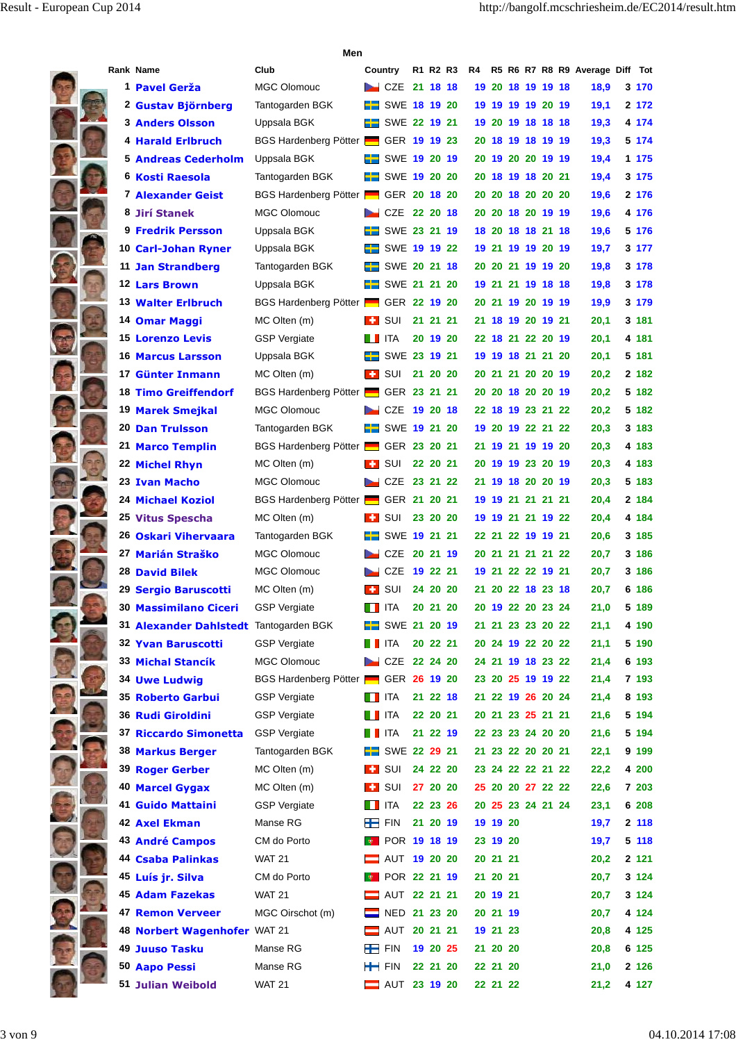|  |                                        | Men                                         |                            |          |          |    |          |                   |  |                                 |         |
|--|----------------------------------------|---------------------------------------------|----------------------------|----------|----------|----|----------|-------------------|--|---------------------------------|---------|
|  | <b>Rank Name</b>                       | Club                                        | Country                    |          | R1 R2 R3 | R4 |          |                   |  | R5 R6 R7 R8 R9 Average Diff Tot |         |
|  | 1 Pavel Gerža                          | <b>MGC Olomouc</b>                          | $CZE$ 21 18 18             |          |          |    |          | 19 20 18 19 19 18 |  | 18,9                            | 3 170   |
|  | 2 Gustav Björnberg                     | Tantogarden BGK                             | $\equiv$ SWE 18 19 20      |          |          |    |          | 19 19 19 19 20 19 |  | 19,1                            | 2 172   |
|  | <b>3 Anders Olsson</b>                 | Uppsala BGK                                 | SWE 22 19 21               |          |          |    |          | 19 20 19 18 18 18 |  | 19,3                            | 4 174   |
|  | 4 Harald Erlbruch                      | BGS Hardenberg Pötter <b>GER 19 19 23</b>   |                            |          |          |    |          | 20 18 19 18 19 19 |  | 19,3                            | 5 174   |
|  | <b>5 Andreas Cederholm</b>             | Uppsala BGK                                 | SWE 19 20 19               |          |          |    |          | 20 19 20 20 19 19 |  | 19,4                            | 1 175   |
|  | 6 Kosti Raesola                        | Tantogarden BGK                             | $\frac{1}{2}$ SWE 19 20 20 |          |          |    |          | 20 18 19 18 20 21 |  | 19,4                            | 3 175   |
|  | <b>7 Alexander Geist</b>               | BGS Hardenberg Pötter GER 20 18 20          |                            |          |          |    |          | 20 20 18 20 20 20 |  | 19,6                            | 2 176   |
|  | 8 Jirí Stanek                          | <b>MGC Olomouc</b>                          | CZE 22 20 18               |          |          |    |          | 20 20 18 20 19 19 |  | 19,6                            | 4 176   |
|  | <b>9 Fredrik Persson</b>               | Uppsala BGK                                 | $\equiv$ SWE 23 21 19      |          |          |    |          | 18 20 18 18 21 18 |  | 19,6                            | 5 176   |
|  | 10 Carl-Johan Ryner                    | Uppsala BGK                                 | SWE 19 19 22               |          |          |    |          | 19 21 19 19 20 19 |  | 19,7                            | 3 177   |
|  | <b>11 Jan Strandberg</b>               | Tantogarden BGK                             | SWE 20 21 18               |          |          |    |          | 20 20 21 19 19 20 |  | 19,8                            | 3 178   |
|  | <b>12 Lars Brown</b>                   | Uppsala BGK                                 | $\frac{1}{2}$ SWE 21 21 20 |          |          |    |          | 19 21 21 19 18 18 |  | 19,8                            | 3 178   |
|  | <b>13 Walter Erlbruch</b>              | BGS Hardenberg Pötter                       | GER 22 19 20               |          |          |    |          | 20 21 19 20 19 19 |  | 19,9                            | 3 179   |
|  | 14 Omar Maggi                          | MC Olten (m)                                | l + sui                    |          | 21 21 21 |    |          | 21 18 19 20 19 21 |  | 20,1                            | 3 181   |
|  | <b>15 Lorenzo Levis</b>                | <b>GSP Vergiate</b>                         | ITA                        |          | 20 19 20 |    |          | 22 18 21 22 20 19 |  | 20,1                            | 4 181   |
|  | <b>16 Marcus Larsson</b>               | Uppsala BGK                                 | SWE 23 19 21               |          |          |    |          | 19 19 18 21 21 20 |  | 20,1                            | 5 181   |
|  | 17 Günter Inmann                       | MC Olten (m)                                | <b>E</b> SUI               |          | 21 20 20 |    |          | 20 21 21 20 20 19 |  | 20,2                            | 2 182   |
|  | <b>18 Timo Greiffendorf</b>            | BGS Hardenberg Pötter <b>- GER 23 21 21</b> |                            |          |          |    |          | 20 20 18 20 20 19 |  | 20,2                            | 5 182   |
|  | <b>19 Marek Smejkal</b>                | <b>MGC Olomouc</b>                          | CZE                        | 19 20 18 |          |    |          | 22 18 19 23 21 22 |  | 20,2                            | 5 182   |
|  | <b>20 Dan Trulsson</b>                 | Tantogarden BGK                             | <b>H</b> SWE 19 21 20      |          |          |    |          | 19 20 19 22 21 22 |  | 20,3                            | 3 183   |
|  | 21 Marco Templin                       | <b>BGS Hardenberg Pötter</b>                | GER 23 20 21               |          |          |    |          | 21 19 21 19 19 20 |  | 20,3                            | 4 183   |
|  | <b>22 Michel Rhyn</b>                  | MC Olten (m)                                | <b>H</b> SUI               |          | 22 20 21 |    |          | 20 19 19 23 20 19 |  | 20,3                            | 4 183   |
|  | 23 Ivan Macho                          | <b>MGC Olomouc</b>                          | CZE 23 21 22               |          |          |    |          | 21 19 18 20 20 19 |  | 20,3                            | 5 183   |
|  | <b>24 Michael Koziol</b>               | BGS Hardenberg Pötter   GER 21 20 21        |                            |          |          |    |          | 19 19 21 21 21 21 |  | 20,4                            | 2 184   |
|  | 25 Vitus Spescha                       | MC Olten (m)                                | <b>H</b> SUI               |          | 23 20 20 |    |          | 19 19 21 21 19 22 |  | 20,4                            | 4 184   |
|  | 26 Oskari Vihervaara                   | Tantogarden BGK                             | <b>H</b> SWE 19 21 21      |          |          |    |          | 22 21 22 19 19 21 |  | 20,6                            | 3 185   |
|  | 27 Marián Straško                      | <b>MGC Olomouc</b>                          | CZE 20 21 19               |          |          |    |          | 20 21 21 21 21 22 |  | 20,7                            | 3 186   |
|  | <b>28 David Bilek</b>                  | <b>MGC Olomouc</b>                          | CZE                        | 19 22 21 |          |    |          | 19 21 22 22 19 21 |  | 20,7                            | 3 186   |
|  | 29 Sergio Baruscotti                   | MC Olten (m)                                | $\blacksquare$ SUI         |          | 24 20 20 |    |          | 21 20 22 18 23 18 |  | 20,7                            | 6 186   |
|  | 30 Massimilano Ciceri                  | <b>GSP Vergiate</b>                         | <b>THEFT</b>               |          | 20 21 20 |    |          | 20 19 22 20 23 24 |  | 21,0                            | 5 189   |
|  | 31 Alexander Dahlstedt Tantogarden BGK |                                             | $\equiv$ SWE 21 20 19      |          |          |    |          | 21 21 23 23 20 22 |  | 21,1                            | 4 190   |
|  | 32 Yvan Baruscotti                     | <b>GSP Vergiate</b>                         | $\blacksquare$ ITA         |          | 20 22 21 |    |          | 20 24 19 22 20 22 |  | 21,1                            | 5 190   |
|  | 33 Michal Stancík                      | <b>MGC Olomouc</b>                          | CZE 22 24 20               |          |          |    |          | 24 21 19 18 23 22 |  | 21,4                            | 6 193   |
|  | <b>34 Uwe Ludwig</b>                   | BGS Hardenberg Pötter <b>- GER 26 19 20</b> |                            |          |          |    |          | 23 20 25 19 19 22 |  | 21,4                            | 7 193   |
|  | 35 Roberto Garbui                      | <b>GSP Vergiate</b>                         | $\blacksquare$ ITA         |          | 21 22 18 |    |          | 21 22 19 26 20 24 |  | 21,4                            | 8 193   |
|  | 36 Rudi Giroldini                      | <b>GSP Vergiate</b>                         | <b>THEFT</b>               |          | 22 20 21 |    |          | 20 21 23 25 21 21 |  | 21,6                            | 5 194   |
|  | 37 Riccardo Simonetta                  | <b>GSP</b> Vergiate                         | <b>THEFT</b>               |          | 21 22 19 |    |          | 22 23 23 24 20 20 |  | 21,6                            | 5 194   |
|  | 38 Markus Berger                       | Tantogarden BGK                             | $\frac{1}{2}$ SWE 22 29 21 |          |          |    |          | 21 23 22 20 20 21 |  | 22,1                            | 9 199   |
|  | 39 Roger Gerber                        | MC Olten (m)                                | $\blacksquare$ SUI         |          | 24 22 20 |    |          | 23 24 22 22 21 22 |  | 22,2                            | 4 200   |
|  | <b>40 Marcel Gygax</b>                 | MC Olten (m)                                | $\blacksquare$ SUI         |          | 27 20 20 |    |          | 25 20 20 27 22 22 |  | 22,6                            | 7 203   |
|  | 41 Guido Mattaini                      | <b>GSP Vergiate</b>                         | $\blacksquare$ ITA         |          | 22 23 26 |    |          | 20 25 23 24 21 24 |  | 23,1                            | 6 208   |
|  | 42 Axel Ekman                          | Manse RG                                    | $+$ FIN                    |          | 21 20 19 |    | 19 19 20 |                   |  | 19,7                            | 2 118   |
|  | <b>43 André Campos</b>                 | CM do Porto                                 | <b>B</b> POR 19 18 19      |          |          |    | 23 19 20 |                   |  | 19,7                            | 5 118   |
|  | <b>44 Csaba Palinkas</b>               | <b>WAT 21</b>                               | AUT 19 20 20               |          |          |    | 20 21 21 |                   |  | 20,2                            | 2 1 2 1 |
|  | 45 Luís jr. Silva                      | CM do Porto                                 | <b>POR 22 21 19</b>        |          |          |    | 21 20 21 |                   |  | 20,7                            | 3 1 2 4 |
|  | 45 Adam Fazekas                        | <b>WAT 21</b>                               | AUT 22 21 21               |          |          |    | 20 19 21 |                   |  | 20,7                            | 3 1 2 4 |
|  | <b>47 Remon Verveer</b>                | MGC Oirschot (m)                            | NED 21 23 20               |          |          |    | 20 21 19 |                   |  | 20,7                            | 4 124   |
|  | 48 Norbert Wagenhofer WAT 21           |                                             | AUT 20 21 21               |          |          |    | 19 21 23 |                   |  | 20,8                            | 4 125   |
|  | 49 Juuso Tasku                         | Manse RG                                    | $F_{\text{FIN}}$           |          | 19 20 25 |    | 21 20 20 |                   |  | 20,8                            | 6 125   |
|  | 50 Aapo Pessi                          | Manse RG                                    | $F_{\text{FIN}}$           |          | 22 21 20 |    | 22 21 20 |                   |  | 21,0                            | 2 1 2 6 |
|  | <b>51 Julian Weibold</b>               | <b>WAT 21</b>                               | <b>E</b> AUT 23 19 20      |          |          |    | 22 21 22 |                   |  | 21,2                            | 4 127   |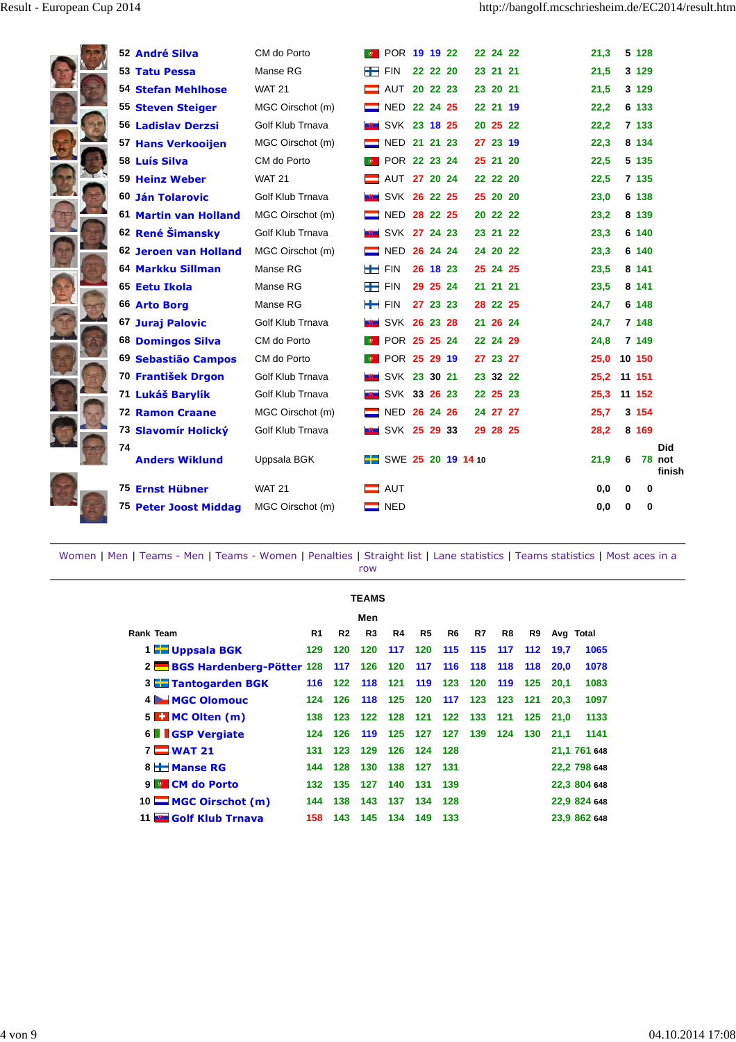| 52 André Silva              | CM do Porto      | <b>B</b> POR 19 19 22       |          |          | 22 24 22 | 21,3 |      | 5 128   |                                |
|-----------------------------|------------------|-----------------------------|----------|----------|----------|------|------|---------|--------------------------------|
| 53 Tatu Pessa               | Manse RG         | $\leftarrow$ FIN            | 22 22 20 |          | 23 21 21 | 21,5 |      | 3 1 2 9 |                                |
| <b>54 Stefan Mehlhose</b>   | <b>WAT 21</b>    | AUT 20 22 23                |          |          | 23 20 21 | 21,5 |      | 3 1 2 9 |                                |
| 55 Steven Steiger           | MGC Oirschot (m) | NED 22 24 25                |          |          | 22 21 19 | 22,2 |      | 6 133   |                                |
| 56 Ladislav Derzsi          | Golf Klub Trnava | <b>EM SVK 23 18 25</b>      |          |          | 20 25 22 | 22,2 |      | 7 133   |                                |
| 57 Hans Verkooijen          | MGC Oirschot (m) | NED 21 21 23                |          |          | 27 23 19 | 22,3 |      | 8 1 3 4 |                                |
| 58 Luís Silva               | CM do Porto      | <b>DE POR 22 23 24</b>      |          |          | 25 21 20 | 22,5 |      | 5 135   |                                |
| 59 Heinz Weber              | <b>WAT 21</b>    | AUT 27 20 24                |          |          | 22 22 20 | 22,5 |      | 7 135   |                                |
| 60 Ján Tolarovic            | Golf Klub Trnava | SVK 26 22 25                |          |          | 25 20 20 | 23,0 |      | 6 138   |                                |
| 61 Martin van Holland       | MGC Oirschot (m) | $\equiv$ NED 28 22 25       |          |          | 20 22 22 | 23,2 |      | 8 139   |                                |
| 62 René Šimansky            | Golf Klub Trnava | SVK 27 24 23                |          |          | 23 21 22 | 23,3 |      | 6 140   |                                |
| 62 Jeroen van Holland       | MGC Oirschot (m) | NED 26 24 24                |          |          | 24 20 22 | 23,3 |      | 6 140   |                                |
| 64 Markku Sillman           | Manse RG         | $F_{\text{FIN}}$            | 26 18 23 |          | 25 24 25 | 23,5 |      | 8 141   |                                |
| 65 Eetu Ikola               | Manse RG         | $F_{\text{FIN}}$            |          | 29 25 24 | 21 21 21 | 23,5 |      | 8 141   |                                |
| 66 Arto Borg                | Manse RG         | $F = FIN$ 27 23 23          |          |          | 28 22 25 | 24,7 |      | 6 148   |                                |
| 67 Juraj Palovic            | Golf Klub Trnava | $\frac{1}{2}$ SVK 26 23 28  |          |          | 21 26 24 | 24,7 |      | 7 148   |                                |
| <b>68 Domingos Silva</b>    | CM do Porto      | <b>DE POR 25 25 24</b>      |          |          | 22 24 29 | 24,8 |      | 7 149   |                                |
| 69 Sebastião Campos         | CM do Porto      | <b>E</b> POR 25 29 19       |          |          | 27 23 27 |      | 25,0 | 10 150  |                                |
| 70 František Drgon          | Golf Klub Trnava | <b>EL SVK 23 30 21</b>      |          |          | 23 32 22 | 25,2 |      | 11 151  |                                |
| 71 Lukáš Barylík            | Golf Klub Trnava | <b>March SVK 33 26 23</b>   |          |          | 22 25 23 | 25,3 |      | 11 152  |                                |
| <b>72 Ramon Craane</b>      | MGC Oirschot (m) | NED 26 24 26                |          |          | 24 27 27 | 25,7 |      | 3 1 5 4 |                                |
| 73 Slavomír Holický         | Golf Klub Trnava | <b>Example SVK 25 29 33</b> |          |          | 29 28 25 | 28,2 |      | 8 1 6 9 |                                |
| 74<br><b>Anders Wiklund</b> | Uppsala BGK      | <b>F</b> SWE 25 20 19 14 10 |          |          |          | 21,9 |      | 6       | <b>Did</b><br>78 not<br>finish |
| 75 Ernst Hübner             | <b>WAT 21</b>    | AUT                         |          |          |          | 0,0  |      | 0       | 0                              |
| 75 Peter Joost Middag       | MGC Oirschot (m) | $\blacksquare$ NED          |          |          |          | 0,0  |      | 0       | 0                              |

|                                               | <b>TEAMS</b> |                |     |     |     |     |     |     |     |             |              |  |  |  |
|-----------------------------------------------|--------------|----------------|-----|-----|-----|-----|-----|-----|-----|-------------|--------------|--|--|--|
|                                               | Men          |                |     |     |     |     |     |     |     |             |              |  |  |  |
| Rank Team                                     | R1           | R <sub>2</sub> | R3  | R4  | R5  | R6  | R7  | R8  | R9  | Avg Total   |              |  |  |  |
| 1 <b>Educational SCK</b>                      | 129          | 120            | 120 | 117 | 120 | 115 | 115 | 117 | 112 | 19,7        | 1065         |  |  |  |
| 2 BGS Hardenberg-Pötter 128 117               |              |                | 126 | 120 | 117 | 116 | 118 | 118 | 118 | <b>20.0</b> | 1078         |  |  |  |
| 3 <b>Elle</b> Tantogarden BGK                 |              | 116 122        | 118 | 121 | 119 | 123 | 120 | 119 | 125 | 20.1        | 1083         |  |  |  |
| <b>MGC Olomouc</b><br>$4 \blacktriangleright$ | 124          | 126            | 118 | 125 | 120 | 117 | 123 | 123 | 121 | 20.3        | 1097         |  |  |  |
| 5 <b>E. MC Olten (m)</b>                      | 138          | 123            | 122 | 128 | 121 | 122 | 133 | 121 | 125 | 21.0        | 1133         |  |  |  |
| <b>6 GSP Vergiate</b>                         | 124          | 126            | 119 | 125 | 127 | 127 | 139 | 124 | 130 | 21.1        | 1141         |  |  |  |
| <b>WAT 21</b><br>$7\equiv$                    | 131          | 123            | 129 | 126 | 124 | 128 |     |     |     |             | 21,1 761 648 |  |  |  |
| 8 H Manse RG                                  | 144          | 128            | 130 | 138 | 127 | 131 |     |     |     |             | 22,2 798 648 |  |  |  |
| 9 <b>CM</b> do Porto                          | 132          | 135            | 127 | 140 | 131 | 139 |     |     |     |             | 22,3 804 648 |  |  |  |
| 10 MGC Oirschot (m)                           | 144          | 138            | 143 | 137 | 134 | 128 |     |     |     |             | 22,9 824 648 |  |  |  |
| 11 <b>BM</b><br><b>Golf Klub Trnava</b>       | 158          | 143            | 145 | 134 | 149 | 133 |     |     |     |             | 23,9 862 648 |  |  |  |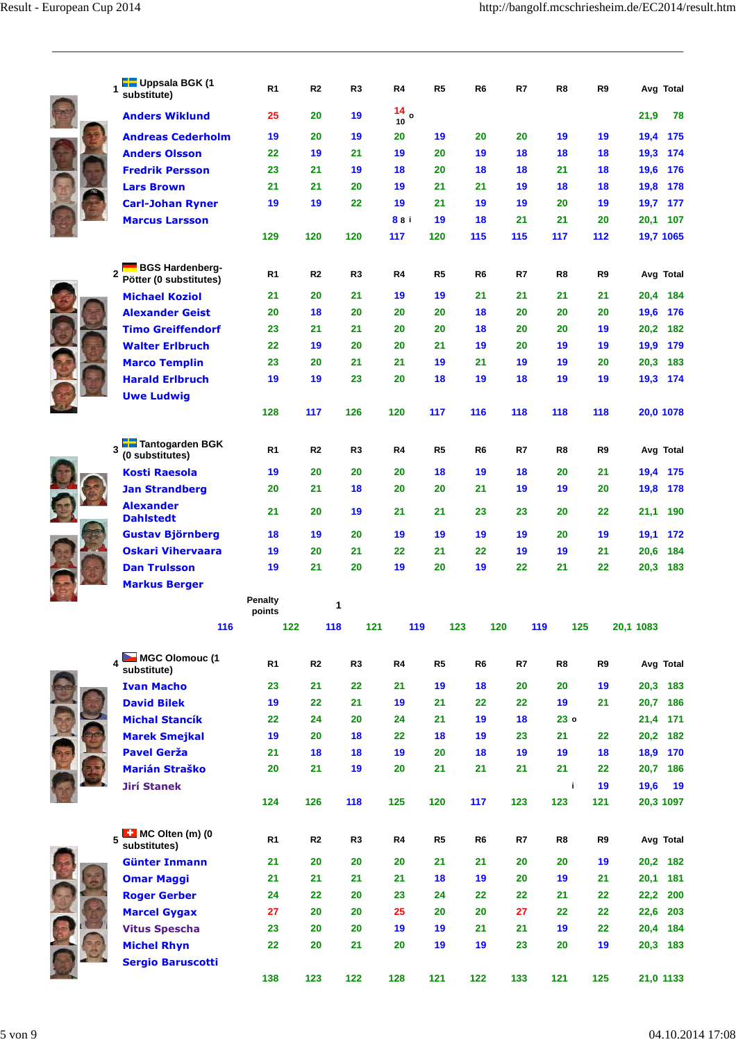| Uppsala BGK (1<br>substitute)                    | R1             | R <sub>2</sub> | R3             | R4                | R <sub>5</sub> | R <sub>6</sub> | R7  | R8              | R9       |           | Avg Total |
|--------------------------------------------------|----------------|----------------|----------------|-------------------|----------------|----------------|-----|-----------------|----------|-----------|-----------|
| <b>Anders Wiklund</b>                            | 25             | 20             | 19             | $\frac{14}{10}$ o |                |                |     |                 |          | 21,9      | 78        |
| <b>Andreas Cederholm</b>                         | 19             | 20             | 19             | 20                | 19             | 20             | 20  | 19              | 19       | 19,4      | 175       |
| <b>Anders Olsson</b>                             | 22             | 19             | 21             | 19                | 20             | 19             | 18  | 18              | 18       | 19,3      | 174       |
| <b>Fredrik Persson</b>                           | 23             | 21             | 19             | 18                | 20             | 18             | 18  | 21              | 18       | 19,6      | 176       |
| <b>Lars Brown</b>                                | 21             | 21             | 20             | 19                | 21             | 21             | 19  | 18              | 18       | 19,8      | 178       |
| <b>Carl-Johan Ryner</b>                          | 19             | 19             | 22             | 19                | 21             | 19             | 19  | 20              | 19       | 19,7      | 177       |
| <b>Marcus Larsson</b>                            |                |                |                | 88 i              | 19             | 18             | 21  | 21              | 20       | 20,1      | 107       |
|                                                  | 129            | 120            | 120            | 117               | 120            | 115            | 115 | 117             | 112      |           | 19,7 1065 |
| <b>BGS Hardenberg-</b><br>Pötter (0 substitutes) | R <sub>1</sub> | R <sub>2</sub> | R <sub>3</sub> | R4                | R <sub>5</sub> | R <sub>6</sub> | R7  | R8              | R9       |           | Avg Total |
| <b>Michael Koziol</b>                            | 21             | 20             | 21             | 19                | 19             | 21             | 21  | 21              | 21       | 20,4      | 184       |
| <b>Alexander Geist</b>                           | 20             | 18             | 20             | 20                | 20             | 18             | 20  | 20              | 20       | 19,6      | 176       |
| <b>Timo Greiffendorf</b>                         | 23             | 21             | 21             | 20                | 20             | 18             | 20  | 20              | 19       | 20,2      | 182       |
| <b>Walter Erlbruch</b>                           | 22             | 19             | 20             | 20                | 21             | 19             | 20  | 19              | 19       | 19,9      | 179       |
| <b>Marco Templin</b>                             | 23             | 20             | 21             | 21                | 19             | 21             | 19  | 19              | 20       | 20,3      | 183       |
| <b>Harald Erlbruch</b>                           | 19             | 19             | 23             | 20                | 18             | 19             | 18  | 19              | 19       | 19,3      | 174       |
| <b>Uwe Ludwig</b>                                |                |                |                |                   |                |                |     |                 |          |           |           |
|                                                  | 128            | 117            | 126            | 120               | 117            | 116            | 118 | 118             | 118      |           | 20,0 1078 |
| <b>Following</b> Tantogarden BGK                 | R <sub>1</sub> | R <sub>2</sub> | R3             | R4                | R <sub>5</sub> | R <sub>6</sub> | R7  | R8              | R9       |           | Avg Total |
| (0 substitutes)                                  |                |                |                |                   |                |                |     |                 |          |           |           |
| <b>Kosti Raesola</b>                             | 19             | 20             | 20             | 20                | 18             | 19             | 18  | 20              | 21       | 19,4      | 175       |
| <b>Jan Strandberg</b>                            | 20             | 21             | 18             | 20                | 20             | 21             | 19  | 19              | 20       | 19,8      | 178       |
| <b>Alexander</b><br><b>Dahlstedt</b>             | 21             | 20             | 19             | 21                | 21             | 23             | 23  | 20              | 22       | 21,1      | 190       |
| <b>Gustav Björnberg</b>                          | 18             | 19             | 20             | 19                | 19             | 19             | 19  | 20              | 19       | 19,1      | 172       |
| <b>Oskari Vihervaara</b>                         | 19             | 20             | 21             | 22                | 21             | 22             | 19  | 19              | 21       | 20,6      | 184       |
| <b>Dan Trulsson</b>                              | 19             | 21             | 20             | 19                | 20             | 19             | 22  | 21              | 22       | 20,3      | 183       |
| <b>Markus Berger</b>                             | <b>Penalty</b> |                | 1              |                   |                |                |     |                 |          |           |           |
| <b>116</b>                                       | points         | 122            | <b>118</b>     | 121               | 119            | 123            | 120 | 119             | 125      | 20,1 1083 |           |
|                                                  |                |                |                |                   |                |                |     |                 |          |           |           |
| MGC Olomouc (1<br>substitute)                    | R <sub>1</sub> | R2             | R <sub>3</sub> | R4                | R <sub>5</sub> | R <sub>6</sub> | R7  | R8              | R9       |           | Avg Total |
| <b>Ivan Macho</b>                                | 23             | 21             | 22             | 21                | 19             | 18             | 20  | 20              | 19       |           | 20,3 183  |
| <b>David Bilek</b>                               | 19             | 22             | 21             | 19                | 21             | 22             | 22  | 19              | 21       | 20,7      | 186       |
| <b>Michal Stancík</b>                            | 22             | 24             | 20             | 24                | 21             | 19             | 18  | 23 <sub>o</sub> |          | 21,4      | 171       |
| <b>Marek Smejkal</b>                             | 19             | 20             | 18             | 22                | 18             | 19             | 23  | 21              | 22       | 20,2      | 182       |
| <b>Pavel Gerža</b>                               | 21             | 18             | 18             | 19                | 20             | 18             | 19  | 19              | 18       |           | 18,9 170  |
| <b>Marián Straško</b>                            | 20             | 21             | 19             | 20                | 21             | 21             | 21  | 21              | 22       | 20,7      | 186       |
| <b>Jirí Stanek</b>                               |                |                |                |                   |                |                |     |                 | i.<br>19 | 19,6      | 19        |
|                                                  | 124            | 126            | 118            | 125               | 120            | 117            | 123 | 123             | 121      |           | 20,3 1097 |
| MC Olten (m) (0<br>5<br>substitutes)             | R <sub>1</sub> | R <sub>2</sub> | R3             | R4                | R5             | R <sub>6</sub> | R7  | R8              | R9       |           | Avg Total |
| <b>Günter Inmann</b>                             | 21             | 20             | 20             | 20                | 21             | 21             | 20  | 20              | 19       |           | 20,2 182  |
| <b>Omar Maggi</b>                                | 21             | 21             | 21             | 21                | 18             | 19             | 20  | 19              | 21       |           | 20,1 181  |
| <b>Roger Gerber</b>                              | 24             | 22             | 20             | 23                | 24             | 22             | 22  | 21              | 22       | 22,2      | 200       |
| <b>Marcel Gygax</b>                              | 27             | 20             | 20             | 25                | 20             | 20             | 27  | 22              | 22       | 22,6      | 203       |
| <b>Vitus Spescha</b>                             | 23             | 20             | 20             | 19                | 19             | 21             | 21  | 19              | 22       |           | 20,4 184  |
| <b>Michel Rhyn</b>                               | 22             | 20             | 21             | 20                | 19             | 19             | 23  | 20              | 19       |           | 20,3 183  |
| <b>Sergio Baruscotti</b>                         |                |                |                |                   |                |                |     |                 |          |           |           |
|                                                  | 138            | 123            | 122            | 128               | 121            | 122            | 133 | 121             | 125      |           | 21,0 1133 |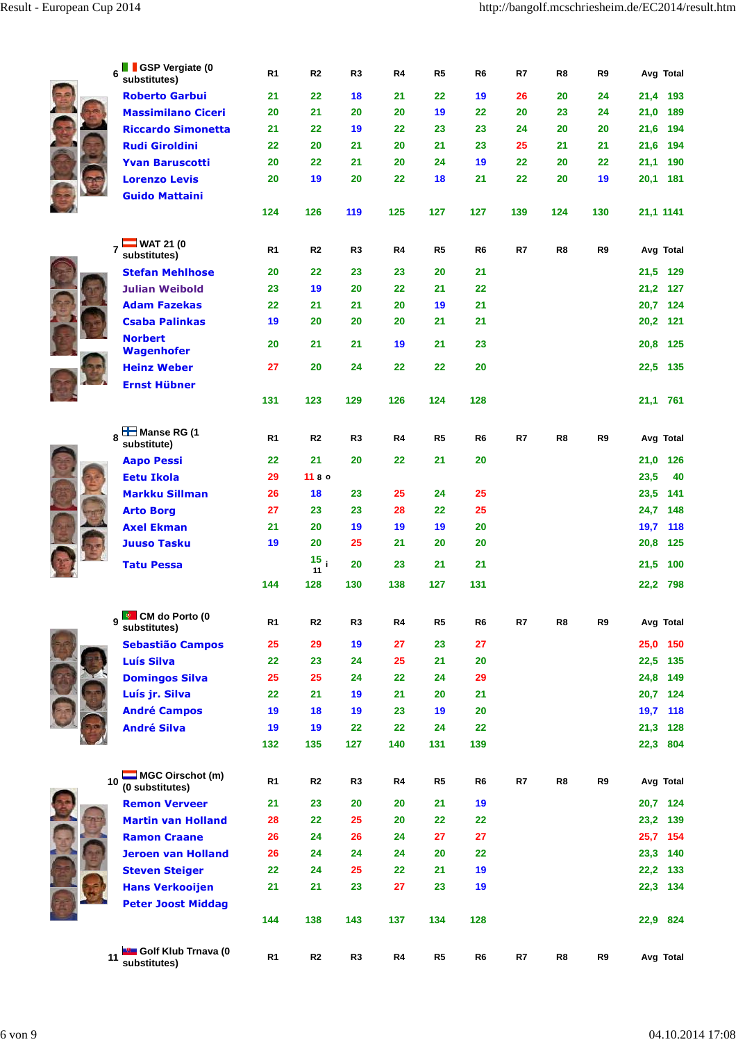| <b>GSP Vergiate (0</b><br>6<br>substitutes) | R1             | R <sub>2</sub>  | R3             | R4  | R5             | R <sub>6</sub> | R7  | R8  | R9  | Avg Total   |
|---------------------------------------------|----------------|-----------------|----------------|-----|----------------|----------------|-----|-----|-----|-------------|
| <b>Roberto Garbui</b>                       | 21             | 22              | 18             | 21  | 22             | 19             | 26  | 20  | 24  | 21,4 193    |
| <b>Massimilano Ciceri</b>                   | 20             | 21              | 20             | 20  | 19             | 22             | 20  | 23  | 24  | 21,0<br>189 |
| <b>Riccardo Simonetta</b>                   | 21             | 22              | 19             | 22  | 23             | 23             | 24  | 20  | 20  | 21.6 194    |
| <b>Rudi Giroldini</b>                       | 22             | 20              | 21             | 20  | 21             | 23             | 25  | 21  | 21  | 21,6 194    |
| <b>Yvan Baruscotti</b>                      | 20             | 22              | 21             | 20  | 24             | 19             | 22  | 20  | 22  | 21,1 190    |
| <b>Lorenzo Levis</b>                        | 20             | 19              | 20             | 22  | 18             | 21             | 22  | 20  | 19  | 20,1 181    |
| <b>Guido Mattaini</b>                       |                |                 |                |     |                |                |     |     |     |             |
|                                             | 124            | 126             | 119            | 125 | 127            | 127            | 139 | 124 | 130 | 21,1 1141   |
|                                             |                |                 |                |     |                |                |     |     |     |             |
| $\_$ WAT 21 (0<br>substitutes)              | R1             | R2              | R3             | R4  | R5             | R6             | R7  | R8  | R9  | Avg Total   |
| <b>Stefan Mehlhose</b>                      | 20             | 22              | 23             | 23  | 20             | 21             |     |     |     | 21,5 129    |
| <b>Julian Weibold</b>                       | 23             | 19              | 20             | 22  | 21             | 22             |     |     |     | 21,2 127    |
| <b>Adam Fazekas</b>                         | 22             | 21              | 21             | 20  | 19             | 21             |     |     |     | 20,7 124    |
| <b>Csaba Palinkas</b>                       | 19             | 20              | 20             | 20  | 21             | 21             |     |     |     | 20,2 121    |
| <b>Norbert</b>                              |                |                 |                |     |                |                |     |     |     |             |
| <b>Wagenhofer</b>                           | 20             | 21              | 21             | 19  | 21             | 23             |     |     |     | 20.8 125    |
| <b>Heinz Weber</b>                          | 27             | 20              | 24             | 22  | 22             | 20             |     |     |     | 22,5 135    |
| <b>Ernst Hübner</b>                         |                |                 |                |     |                |                |     |     |     |             |
|                                             | 131            | 123             | 129            | 126 | 124            | 128            |     |     |     | 21,1 761    |
|                                             |                |                 |                |     |                |                |     |     |     |             |
| <b>LE</b> Manse RG (1<br>8<br>substitute)   | R1             | R2              | R3             | R4  | R5             | R6             | R7  | R8  | R9  | Avg Total   |
| <b>Aapo Pessi</b>                           | 22             | 21              | 20             | 22  | 21             | 20             |     |     |     | 21,0 126    |
| <b>Eetu Ikola</b>                           | 29             | 1180            |                |     |                |                |     |     |     | 23,5<br>40  |
| <b>Markku Sillman</b>                       | 26             | 18              | 23             | 25  | 24             | 25             |     |     |     | 23,5<br>141 |
| <b>Arto Borg</b>                            | 27             | 23              | 23             | 28  | 22             | 25             |     |     |     | 24,7<br>148 |
| <b>Axel Ekman</b>                           | 21             | 20              | 19             | 19  | 19             | 20             |     |     |     | 19,7<br>118 |
| <b>Juuso Tasku</b>                          | 19             | 20              | 25             | 21  | 20             | 20             |     |     |     | 20,8<br>125 |
|                                             |                | 15 <sub>i</sub> |                |     |                |                |     |     |     |             |
| <b>Tatu Pessa</b>                           |                | 11              | 20             | 23  | 21             | 21             |     |     |     | 21,5<br>100 |
|                                             | 144            | 128             | 130            | 138 | 127            | 131            |     |     |     | 22,2<br>798 |
| <b>CM</b> do Porto (0<br>9                  | R <sub>1</sub> | R2              | R3             | R4  | R5             | R6             | R7  | R8  | R9  | Avg Total   |
| substitutes)                                |                |                 |                |     |                |                |     |     |     |             |
| <b>Sebastião Campos</b>                     | 25             | 29              | 19             | 27  | 23             | 27             |     |     |     | 25,0 150    |
| <b>Luís Silva</b>                           | 22             | 23              | 24             | 25  | 21             | 20             |     |     |     | 22,5 135    |
| <b>Domingos Silva</b>                       | 25             | 25              | 24             | 22  | 24             | 29             |     |     |     | 24,8 149    |
| Luís jr. Silva                              | 22             | 21              | 19             | 21  | 20             | 21             |     |     |     | 20,7 124    |
| <b>André Campos</b>                         | 19             | 18              | 19             | 23  | 19             | 20             |     |     |     | 19,7 118    |
| <b>André Silva</b>                          | 19             | 19              | 22             | 22  | 24             | 22             |     |     |     | 21,3 128    |
|                                             | 132            | 135             | 127            | 140 | 131            | 139            |     |     |     | 22,3 804    |
| MGC Oirschot (m)<br>10                      | R1             | R2              | R3             | R4  | R5             | R6             | R7  | R8  | R9  | Avg Total   |
| (0 substitutes)                             |                |                 |                |     |                |                |     |     |     |             |
| <b>Remon Verveer</b>                        | 21             | 23              | 20             | 20  | 21             | 19             |     |     |     | 20,7 124    |
| <b>Martin van Holland</b>                   | 28             | 22              | 25             | 20  | 22             | 22             |     |     |     | 23,2 139    |
| <b>Ramon Craane</b>                         | 26             | 24              | 26             | 24  | 27             | 27             |     |     |     | 25,7 154    |
| <b>Jeroen van Holland</b>                   | 26             | 24              | 24             | 24  | 20             | 22             |     |     |     | 23,3 140    |
| <b>Steven Steiger</b>                       | 22             | 24              | 25             | 22  | 21             | 19             |     |     |     | 22,2 133    |
| <b>Hans Verkooijen</b>                      | 21             | 21              | 23             | 27  | 23             | 19             |     |     |     | 22,3 134    |
| <b>Peter Joost Middag</b>                   |                |                 |                |     |                |                |     |     |     |             |
|                                             | 144            | 138             | 143            | 137 | 134            | 128            |     |     |     | 22,9 824    |
| Golf Klub Trnava (0<br>11                   | R <sub>1</sub> | R2              | R <sub>3</sub> | R4  | R <sub>5</sub> | R6             | R7  | R8  | R9  | Avg Total   |
| substitutes)                                |                |                 |                |     |                |                |     |     |     |             |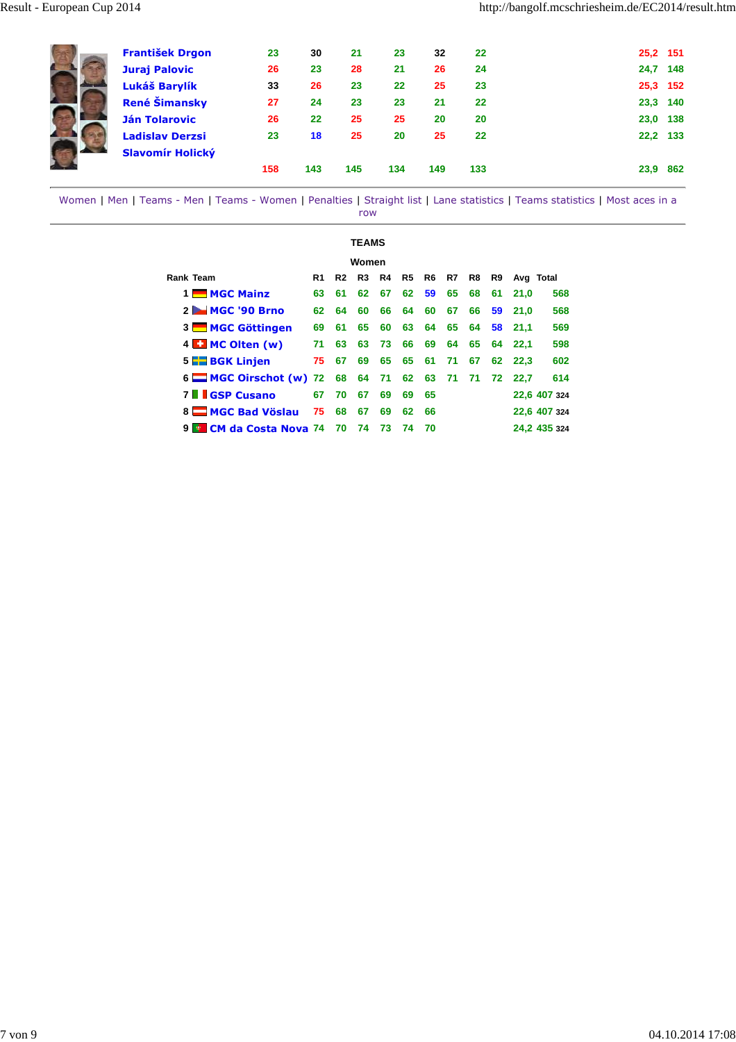| <b>František Drgon</b><br><b>Juraj Palovic</b><br>Lukáš Barylík<br><b>René Šimansky</b><br><b>Ján Tolarovic</b><br><b>Ladislav Derzsi</b> | 23<br>26<br>33<br>27<br>26<br>23 | 30<br>23<br>26<br>24<br>22<br>18 | 21<br>28<br>23<br>23<br>25<br>25 | 23<br>21<br>22<br>23<br>25<br>20 | 32<br>26<br>25<br>21<br>20<br>25 | 22<br>24<br>23<br>22<br>20<br>22 | 25,2 151<br>24,7<br>25,3 152<br>23,3<br>23,0<br>22,2 | 148<br>140<br>138<br>133 |
|-------------------------------------------------------------------------------------------------------------------------------------------|----------------------------------|----------------------------------|----------------------------------|----------------------------------|----------------------------------|----------------------------------|------------------------------------------------------|--------------------------|
| Slavomír Holický                                                                                                                          | 158                              | 143                              | 145                              | 134                              | 149                              | 133                              | 23,9                                                 | 862                      |

|                                      |    |           | TEAMS |    |    |    |    |    |    |      |              |  |
|--------------------------------------|----|-----------|-------|----|----|----|----|----|----|------|--------------|--|
| Women                                |    |           |       |    |    |    |    |    |    |      |              |  |
| <b>Rank Team</b>                     |    | Avg Total |       |    |    |    |    |    |    |      |              |  |
| 1 MGC Mainz                          | 63 | 61        | 62    | 67 | 62 | 59 | 65 | 68 | 61 | 21.0 | 568          |  |
| $2 - MGC$ '90 Brno                   | 62 | 64        | 60    | 66 | 64 | 60 | 67 | 66 | 59 | 21.0 | 568          |  |
| 3 MGC Göttingen                      | 69 | 61        | 65    | 60 | 63 | 64 | 65 | 64 | 58 | 21.1 | 569          |  |
| 4 <b>E.</b> MC Olten (w)             | 71 | 63        | 63    | 73 | 66 | 69 | 64 | 65 | 64 | 22.1 | 598          |  |
| 5 <b>BGK</b> Linjen                  | 75 | 67        | 69    | 65 | 65 | 61 | 71 | 67 | 62 | 22.3 | 602          |  |
| 6 $\blacksquare$ MGC Oirschot (w) 72 |    | 68        | 64    | 71 | 62 | 63 | 71 | 71 | 72 | 22.7 | 614          |  |
| <b>7   GSP Cusano</b>                | 67 | 70        | 67    | 69 | 69 | 65 |    |    |    |      | 22,6 407 324 |  |
| 8 MGC Bad Vöslau                     | 75 | 68        | 67    | 69 | 62 | 66 |    |    |    |      | 22,6 407 324 |  |
| <b>CM da Costa Nova 74</b><br>9      |    | 70        | 74    | 73 | 74 | 70 |    |    |    |      | 24.2 435 324 |  |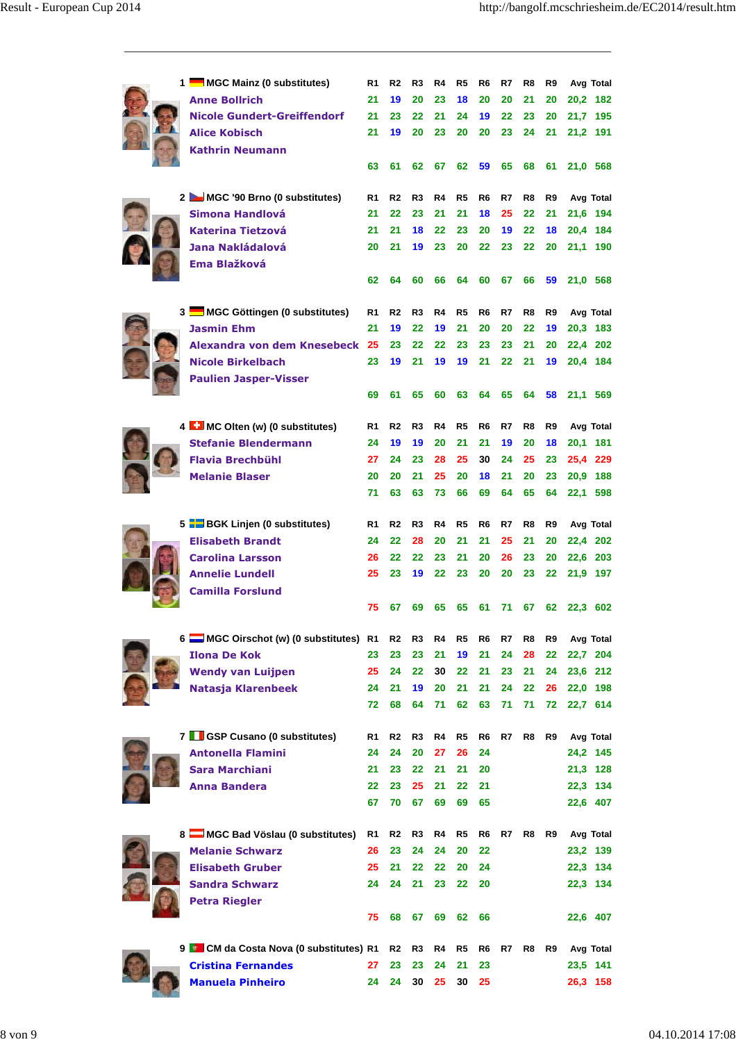|  | 1 MGC Mainz (0 substitutes)           | R1 | R <sub>2</sub> | R3             | R4 | R5             | R6             | R7 | R8             | R9             | Avg Total |
|--|---------------------------------------|----|----------------|----------------|----|----------------|----------------|----|----------------|----------------|-----------|
|  | <b>Anne Bollrich</b>                  | 21 | 19             | 20             | 23 | 18             | 20             | 20 | 21             | 20             | 20,2 182  |
|  | <b>Nicole Gundert-Greiffendorf</b>    | 21 | 23             | 22             | 21 | 24             | 19             | 22 | 23             | 20             | 21,7 195  |
|  | <b>Alice Kobisch</b>                  | 21 | 19             | 20             | 23 | 20             | 20             | 23 | 24             | 21             | 21,2 191  |
|  | <b>Kathrin Neumann</b>                | 63 | 61             | 62             | 67 | 62             | 59             | 65 | 68             | 61             | 21,0 568  |
|  |                                       |    |                |                |    |                |                |    |                |                |           |
|  | 2 MGC '90 Brno (0 substitutes)        | R1 | R <sub>2</sub> | R <sub>3</sub> | R4 | R5             | R <sub>6</sub> | R7 | R <sub>8</sub> | R <sub>9</sub> | Avg Total |
|  | Simona Handlová                       | 21 | 22             | 23             | 21 | 21             | 18             | 25 | 22             | 21             | 21,6 194  |
|  | <b>Katerina Tietzová</b>              | 21 | 21             | 18             | 22 | 23             | 20             | 19 | 22             | 18             | 20,4 184  |
|  | Jana Nakládalová                      | 20 | 21             | 19             | 23 | 20             | 22             | 23 | 22             | 20             | 21,1 190  |
|  | Ema Blažková                          | 62 | 64             | 60             | 66 | 64             | 60             | 67 | 66             | 59             |           |
|  |                                       |    |                |                |    |                |                |    |                |                | 21,0 568  |
|  | 3 MGC Göttingen (0 substitutes)       | R1 | R <sub>2</sub> | R <sub>3</sub> | R4 | R <sub>5</sub> | R <sub>6</sub> | R7 | R <sub>8</sub> | R9             | Avg Total |
|  | <b>Jasmin Ehm</b>                     | 21 | 19             | 22             | 19 | 21             | 20             | 20 | 22             | 19             | 20,3 183  |
|  | Alexandra von dem Knesebeck 25        |    | 23             | 22             | 22 | 23             | 23             | 23 | 21             | 20             | 22,4 202  |
|  | <b>Nicole Birkelbach</b>              | 23 | 19             | 21             | 19 | 19             | 21             | 22 | 21             | 19             | 20,4 184  |
|  | <b>Paulien Jasper-Visser</b>          |    |                |                |    |                |                |    |                |                |           |
|  |                                       | 69 | 61             | 65             | 60 | 63             | 64             | 65 | 64             | 58             | 21,1 569  |
|  | 4 MC Olten (w) (0 substitutes)        | R1 | R <sub>2</sub> | R <sub>3</sub> | R4 | R5             | R <sub>6</sub> | R7 | R <sub>8</sub> | R9             | Avg Total |
|  | <b>Stefanie Blendermann</b>           | 24 | 19             | 19             | 20 | 21             | 21             | 19 | 20             | 18             | 20,1 181  |
|  | <b>Flavia Brechbühl</b>               | 27 | 24             | 23             | 28 | 25             | 30             | 24 | 25             | 23             | 25,4 229  |
|  | <b>Melanie Blaser</b>                 | 20 | 20             | 21             | 25 | 20             | 18             | 21 | 20             | 23             | 20,9 188  |
|  |                                       | 71 | 63             | 63             | 73 | 66             | 69             | 64 | 65             | 64             | 22,1 598  |
|  | 5 BGK Linjen (0 substitutes)          | R1 | R <sub>2</sub> | R <sub>3</sub> | R4 | R5             | R <sub>6</sub> | R7 | R <sub>8</sub> | R9             | Avg Total |
|  | <b>Elisabeth Brandt</b>               | 24 | 22             | 28             | 20 | 21             | 21             | 25 | 21             | 20             | 22,4 202  |
|  | <b>Carolina Larsson</b>               | 26 | 22             | 22             | 23 | 21             | 20             | 26 | 23             | 20             | 22,6 203  |
|  | <b>Annelie Lundell</b>                | 25 | 23             | 19             | 22 | 23             | 20             | 20 | 23             | 22             | 21,9 197  |
|  | <b>Camilla Forslund</b>               |    |                |                |    |                |                |    |                |                |           |
|  |                                       | 75 | 67             | 69             | 65 | 65             | 61             | 71 | 67             | 62             | 22,3 602  |
|  | 6 MGC Oirschot (w) (0 substitutes) R1 |    | R2             | R3             | R4 | R5             | R6             | R7 | R8             | R9             | Avg Total |
|  | <b>Ilona De Kok</b>                   | 23 | 23             | 23             | 21 | 19             | 21             | 24 | 28             | 22             | 22,7 204  |
|  | <b>Wendy van Luijpen</b>              | 25 | 24             | 22             | 30 | 22             | 21             | 23 | 21             | 24             | 23,6 212  |
|  | Natasja Klarenbeek                    | 24 | 21             | 19             | 20 | 21             | 21             | 24 | 22             | 26             | 22,0 198  |
|  |                                       | 72 | 68             | 64             | 71 | 62             | 63             | 71 | 71             | 72             | 22,7 614  |
|  | 7   GSP Cusano (0 substitutes)        | R1 | R2             | R3             | R4 | R5             | R <sub>6</sub> | R7 | R8             | R9             | Avg Total |
|  | <b>Antonella Flamini</b>              | 24 | 24             | 20             | 27 | 26             | 24             |    |                |                | 24,2 145  |
|  | <b>Sara Marchiani</b>                 | 21 | 23             | 22             | 21 | 21             | 20             |    |                |                | 21,3 128  |
|  | Anna Bandera                          | 22 | 23             | 25             | 21 | 22             | 21             |    |                |                | 22,3 134  |
|  |                                       | 67 | 70             | 67             | 69 | 69             | 65             |    |                |                | 22,6 407  |
|  | 8 MGC Bad Vöslau (0 substitutes) R1   |    | R <sub>2</sub> | R3             | R4 | R5             | R6             | R7 | R8             | R9             | Avg Total |
|  | <b>Melanie Schwarz</b>                | 26 | 23             | 24             | 24 | 20             | 22             |    |                |                | 23,2 139  |
|  | <b>Elisabeth Gruber</b>               | 25 | 21             | 22             | 22 | 20             | 24             |    |                |                | 22,3 134  |
|  | <b>Sandra Schwarz</b>                 | 24 | 24             | 21             | 23 | 22             | 20             |    |                |                | 22,3 134  |
|  | <b>Petra Riegler</b>                  |    |                |                |    |                |                |    |                |                |           |
|  |                                       | 75 | 68             | 67             | 69 | 62             | 66             |    |                |                | 22,6 407  |
|  | 9 CM da Costa Nova (0 substitutes) R1 |    | R2             | R3             | R4 | R5             | R6             | R7 | R8             | R9             | Avg Total |
|  | <b>Cristina Fernandes</b>             | 27 | 23             | 23             | 24 | 21             | 23             |    |                |                | 23,5 141  |
|  | <b>Manuela Pinheiro</b>               | 24 | 24             | 30             | 25 | 30             | 25             |    |                |                | 26,3 158  |
|  |                                       |    |                |                |    |                |                |    |                |                |           |